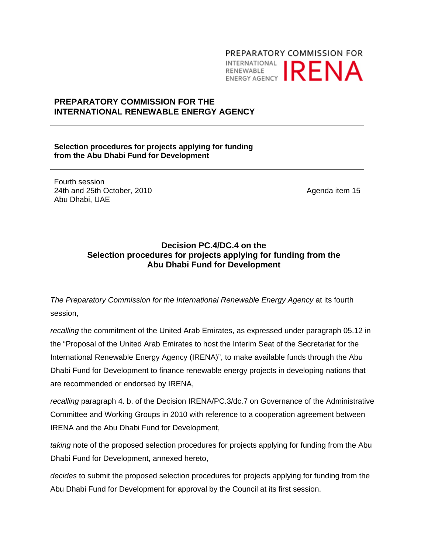# PREPARATORY COMMISSION FOR **INTERNATIONAL IRENA**

# **PREPARATORY COMMISSION FOR THE INTERNATIONAL RENEWABLE ENERGY AGENCY**

**Selection procedures for projects applying for funding from the Abu Dhabi Fund for Development** 

Fourth session 24th and 25th October, 2010 Abu Dhabi, UAE

Agenda item 15

# **Decision PC.4/DC.4 on the Selection procedures for projects applying for funding from the Abu Dhabi Fund for Development**

*The Preparatory Commission for the International Renewable Energy Agency* at its fourth session,

*recalling* the commitment of the United Arab Emirates, as expressed under paragraph 05.12 in the "Proposal of the United Arab Emirates to host the Interim Seat of the Secretariat for the International Renewable Energy Agency (IRENA)", to make available funds through the Abu Dhabi Fund for Development to finance renewable energy projects in developing nations that are recommended or endorsed by IRENA,

*recalling* paragraph 4. b. of the Decision IRENA/PC.3/dc.7 on Governance of the Administrative Committee and Working Groups in 2010 with reference to a cooperation agreement between IRENA and the Abu Dhabi Fund for Development,

*taking* note of the proposed selection procedures for projects applying for funding from the Abu Dhabi Fund for Development, annexed hereto,

*decides* to submit the proposed selection procedures for projects applying for funding from the Abu Dhabi Fund for Development for approval by the Council at its first session.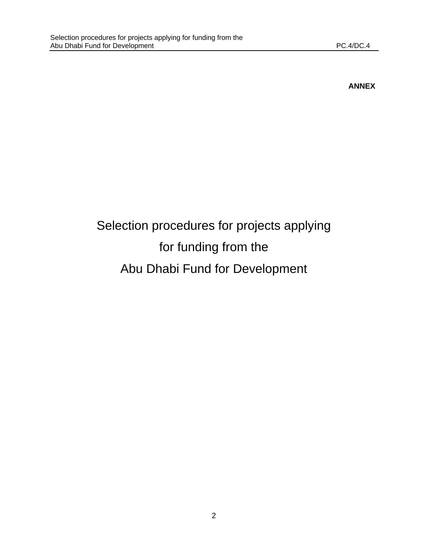# **ANNEX**

# Selection procedures for projects applying for funding from the Abu Dhabi Fund for Development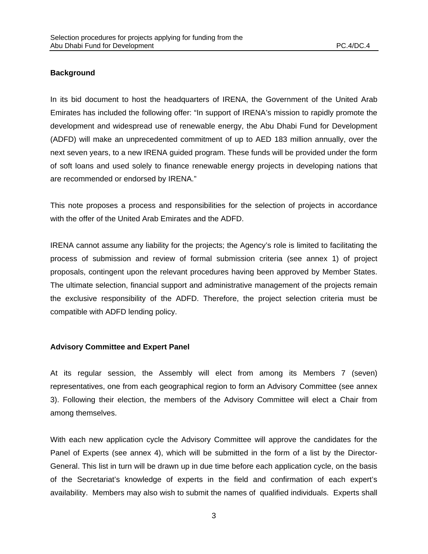## **Background**

In its bid document to host the headquarters of IRENA, the Government of the United Arab Emirates has included the following offer: "In support of IRENA's mission to rapidly promote the development and widespread use of renewable energy, the Abu Dhabi Fund for Development (ADFD) will make an unprecedented commitment of up to AED 183 million annually, over the next seven years, to a new IRENA guided program. These funds will be provided under the form of soft loans and used solely to finance renewable energy projects in developing nations that are recommended or endorsed by IRENA."

This note proposes a process and responsibilities for the selection of projects in accordance with the offer of the United Arab Emirates and the ADFD.

IRENA cannot assume any liability for the projects; the Agency's role is limited to facilitating the process of submission and review of formal submission criteria (see annex 1) of project proposals, contingent upon the relevant procedures having been approved by Member States. The ultimate selection, financial support and administrative management of the projects remain the exclusive responsibility of the ADFD. Therefore, the project selection criteria must be compatible with ADFD lending policy.

#### **Advisory Committee and Expert Panel**

At its regular session, the Assembly will elect from among its Members 7 (seven) representatives, one from each geographical region to form an Advisory Committee (see annex 3). Following their election, the members of the Advisory Committee will elect a Chair from among themselves.

With each new application cycle the Advisory Committee will approve the candidates for the Panel of Experts (see annex 4), which will be submitted in the form of a list by the Director-General. This list in turn will be drawn up in due time before each application cycle, on the basis of the Secretariat's knowledge of experts in the field and confirmation of each expert's availability. Members may also wish to submit the names of qualified individuals. Experts shall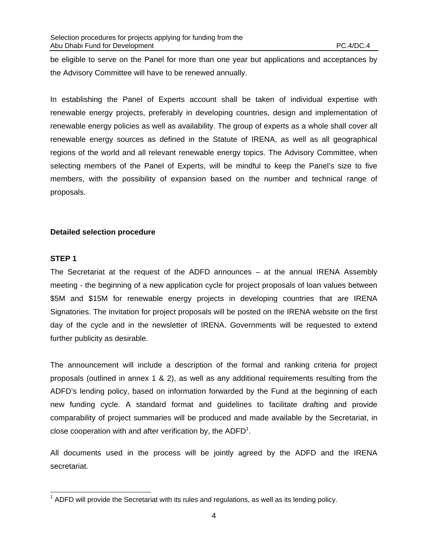be eligible to serve on the Panel for more than one year but applications and acceptances by the Advisory Committee will have to be renewed annually.

In establishing the Panel of Experts account shall be taken of individual expertise with renewable energy projects, preferably in developing countries, design and implementation of renewable energy policies as well as availability. The group of experts as a whole shall cover all renewable energy sources as defined in the Statute of IRENA, as well as all geographical regions of the world and all relevant renewable energy topics. The Advisory Committee, when selecting members of the Panel of Experts, will be mindful to keep the Panel's size to five members, with the possibility of expansion based on the number and technical range of proposals.

#### **Detailed selection procedure**

#### **STEP 1**

The Secretariat at the request of the ADFD announces – at the annual IRENA Assembly meeting - the beginning of a new application cycle for project proposals of loan values between \$5M and \$15M for renewable energy projects in developing countries that are IRENA Signatories. The invitation for project proposals will be posted on the IRENA website on the first day of the cycle and in the newsletter of IRENA. Governments will be requested to extend further publicity as desirable.

The announcement will include a description of the formal and ranking criteria for project proposals (outlined in annex 1 & 2), as well as any additional requirements resulting from the ADFD's lending policy, based on information forwarded by the Fund at the beginning of each new funding cycle. A standard format and guidelines to facilitate drafting and provide comparability of project summaries will be produced and made available by the Secretariat, in close cooperation with and after verification by, the  $ADFD<sup>1</sup>$ .

All documents used in the process will be jointly agreed by the ADFD and the IRENA secretariat.

<sup>————————————————————&</sup>lt;br><sup>1</sup> ADFD will provide the Secretariat with its rules and regulations, as well as its lending policy.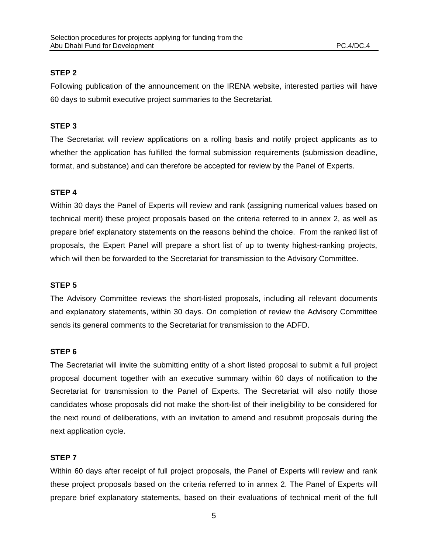## **STEP 2**

Following publication of the announcement on the IRENA website, interested parties will have 60 days to submit executive project summaries to the Secretariat.

## **STEP 3**

The Secretariat will review applications on a rolling basis and notify project applicants as to whether the application has fulfilled the formal submission requirements (submission deadline, format, and substance) and can therefore be accepted for review by the Panel of Experts.

# **STEP 4**

Within 30 days the Panel of Experts will review and rank (assigning numerical values based on technical merit) these project proposals based on the criteria referred to in annex 2, as well as prepare brief explanatory statements on the reasons behind the choice. From the ranked list of proposals, the Expert Panel will prepare a short list of up to twenty highest-ranking projects, which will then be forwarded to the Secretariat for transmission to the Advisory Committee.

#### **STEP 5**

The Advisory Committee reviews the short-listed proposals, including all relevant documents and explanatory statements, within 30 days. On completion of review the Advisory Committee sends its general comments to the Secretariat for transmission to the ADFD.

#### **STEP 6**

The Secretariat will invite the submitting entity of a short listed proposal to submit a full project proposal document together with an executive summary within 60 days of notification to the Secretariat for transmission to the Panel of Experts. The Secretariat will also notify those candidates whose proposals did not make the short-list of their ineligibility to be considered for the next round of deliberations, with an invitation to amend and resubmit proposals during the next application cycle.

#### **STEP 7**

Within 60 days after receipt of full project proposals, the Panel of Experts will review and rank these project proposals based on the criteria referred to in annex 2. The Panel of Experts will prepare brief explanatory statements, based on their evaluations of technical merit of the full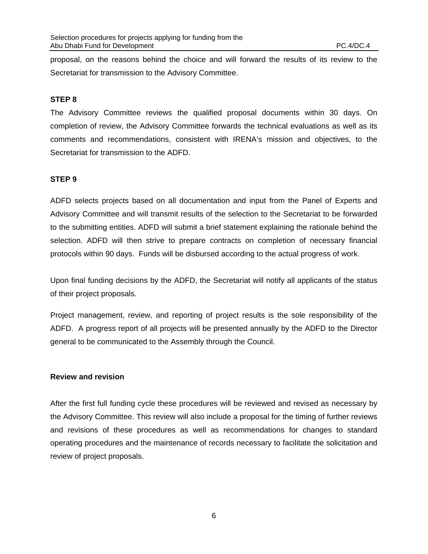proposal, on the reasons behind the choice and will forward the results of its review to the Secretariat for transmission to the Advisory Committee.

#### **STEP 8**

The Advisory Committee reviews the qualified proposal documents within 30 days. On completion of review, the Advisory Committee forwards the technical evaluations as well as its comments and recommendations, consistent with IRENA's mission and objectives, to the Secretariat for transmission to the ADFD.

#### **STEP 9**

ADFD selects projects based on all documentation and input from the Panel of Experts and Advisory Committee and will transmit results of the selection to the Secretariat to be forwarded to the submitting entities. ADFD will submit a brief statement explaining the rationale behind the selection. ADFD will then strive to prepare contracts on completion of necessary financial protocols within 90 days. Funds will be disbursed according to the actual progress of work.

Upon final funding decisions by the ADFD, the Secretariat will notify all applicants of the status of their project proposals.

Project management, review, and reporting of project results is the sole responsibility of the ADFD. A progress report of all projects will be presented annually by the ADFD to the Director general to be communicated to the Assembly through the Council.

#### **Review and revision**

After the first full funding cycle these procedures will be reviewed and revised as necessary by the Advisory Committee. This review will also include a proposal for the timing of further reviews and revisions of these procedures as well as recommendations for changes to standard operating procedures and the maintenance of records necessary to facilitate the solicitation and review of project proposals.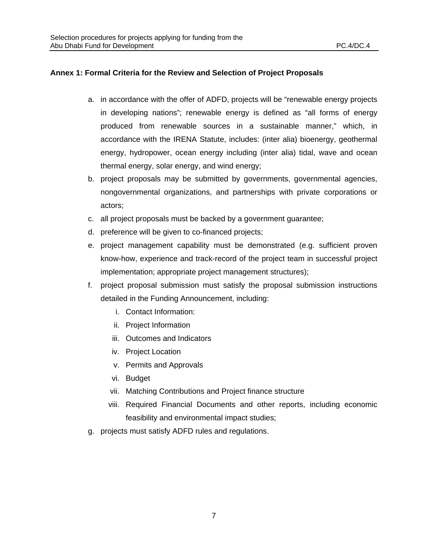#### **Annex 1: Formal Criteria for the Review and Selection of Project Proposals**

- a. in accordance with the offer of ADFD, projects will be "renewable energy projects in developing nations"; renewable energy is defined as "all forms of energy produced from renewable sources in a sustainable manner," which, in accordance with the IRENA Statute, includes: (inter alia) bioenergy, geothermal energy, hydropower, ocean energy including (inter alia) tidal, wave and ocean thermal energy, solar energy, and wind energy;
- b. project proposals may be submitted by governments, governmental agencies, nongovernmental organizations, and partnerships with private corporations or actors;
- c. all project proposals must be backed by a government guarantee;
- d. preference will be given to co-financed projects;
- e. project management capability must be demonstrated (e.g. sufficient proven know-how, experience and track-record of the project team in successful project implementation; appropriate project management structures);
- f. project proposal submission must satisfy the proposal submission instructions detailed in the Funding Announcement, including:
	- i. Contact Information:
	- ii. Project Information
	- iii. Outcomes and Indicators
	- iv. Project Location
	- v. Permits and Approvals
	- vi. Budget
	- vii. Matching Contributions and Project finance structure
	- viii. Required Financial Documents and other reports, including economic feasibility and environmental impact studies;
- g. projects must satisfy ADFD rules and regulations.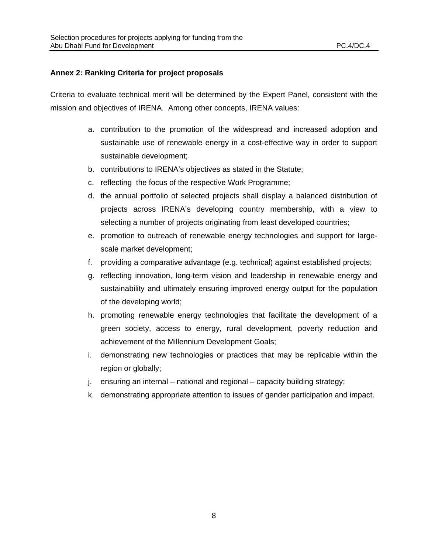#### **Annex 2: Ranking Criteria for project proposals**

Criteria to evaluate technical merit will be determined by the Expert Panel, consistent with the mission and objectives of IRENA. Among other concepts, IRENA values:

- a. contribution to the promotion of the widespread and increased adoption and sustainable use of renewable energy in a cost-effective way in order to support sustainable development;
- b. contributions to IRENA's objectives as stated in the Statute;
- c. reflecting the focus of the respective Work Programme;
- d. the annual portfolio of selected projects shall display a balanced distribution of projects across IRENA's developing country membership, with a view to selecting a number of projects originating from least developed countries;
- e. promotion to outreach of renewable energy technologies and support for largescale market development;
- f. providing a comparative advantage (e.g. technical) against established projects;
- g. reflecting innovation, long-term vision and leadership in renewable energy and sustainability and ultimately ensuring improved energy output for the population of the developing world;
- h. promoting renewable energy technologies that facilitate the development of a green society, access to energy, rural development, poverty reduction and achievement of the Millennium Development Goals;
- i. demonstrating new technologies or practices that may be replicable within the region or globally;
- j. ensuring an internal national and regional capacity building strategy;
- k. demonstrating appropriate attention to issues of gender participation and impact.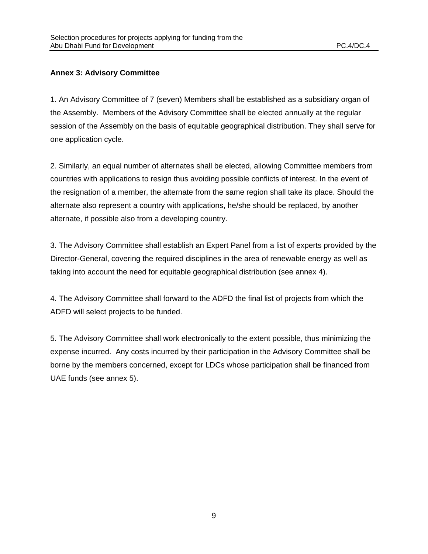#### **Annex 3: Advisory Committee**

1. An Advisory Committee of 7 (seven) Members shall be established as a subsidiary organ of the Assembly. Members of the Advisory Committee shall be elected annually at the regular session of the Assembly on the basis of equitable geographical distribution. They shall serve for one application cycle.

2. Similarly, an equal number of alternates shall be elected, allowing Committee members from countries with applications to resign thus avoiding possible conflicts of interest. In the event of the resignation of a member, the alternate from the same region shall take its place. Should the alternate also represent a country with applications, he/she should be replaced, by another alternate, if possible also from a developing country.

3. The Advisory Committee shall establish an Expert Panel from a list of experts provided by the Director-General, covering the required disciplines in the area of renewable energy as well as taking into account the need for equitable geographical distribution (see annex 4).

4. The Advisory Committee shall forward to the ADFD the final list of projects from which the ADFD will select projects to be funded.

5. The Advisory Committee shall work electronically to the extent possible, thus minimizing the expense incurred. Any costs incurred by their participation in the Advisory Committee shall be borne by the members concerned, except for LDCs whose participation shall be financed from UAE funds (see annex 5).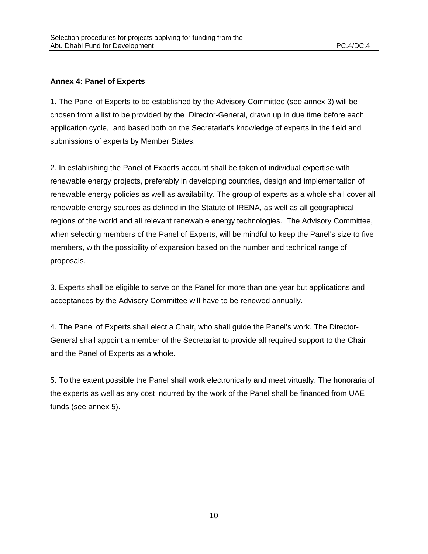#### **Annex 4: Panel of Experts**

1. The Panel of Experts to be established by the Advisory Committee (see annex 3) will be chosen from a list to be provided by the Director-General, drawn up in due time before each application cycle, and based both on the Secretariat's knowledge of experts in the field and submissions of experts by Member States.

2. In establishing the Panel of Experts account shall be taken of individual expertise with renewable energy projects, preferably in developing countries, design and implementation of renewable energy policies as well as availability. The group of experts as a whole shall cover all renewable energy sources as defined in the Statute of IRENA, as well as all geographical regions of the world and all relevant renewable energy technologies. The Advisory Committee, when selecting members of the Panel of Experts, will be mindful to keep the Panel's size to five members, with the possibility of expansion based on the number and technical range of proposals.

3. Experts shall be eligible to serve on the Panel for more than one year but applications and acceptances by the Advisory Committee will have to be renewed annually.

4. The Panel of Experts shall elect a Chair, who shall guide the Panel's work. The Director-General shall appoint a member of the Secretariat to provide all required support to the Chair and the Panel of Experts as a whole.

5. To the extent possible the Panel shall work electronically and meet virtually. The honoraria of the experts as well as any cost incurred by the work of the Panel shall be financed from UAE funds (see annex 5).